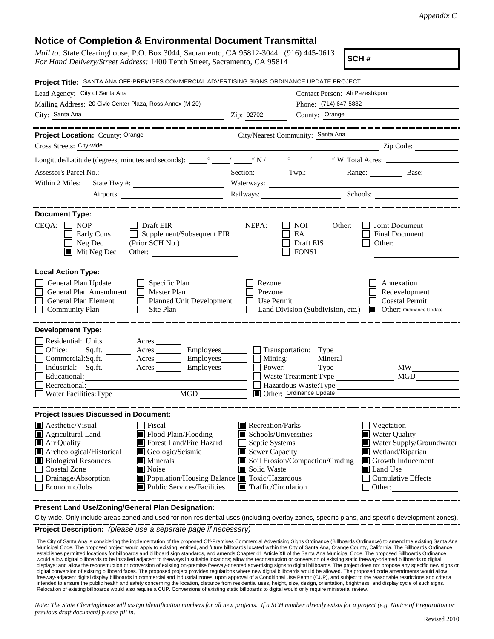## **Notice of Completion & Environmental Document Transmittal**

| <i>Mail to:</i> State Clearinghouse, P.O. Box 3044, Sacramento, CA 95812-3044 (916) 445-0613<br>SCH#<br>For Hand Delivery/Street Address: 1400 Tenth Street, Sacramento, CA 95814                                                                                                                                                                                                       |                                                                                                                                   |                                                                                                    |                                                                                                                                                                 |  |
|-----------------------------------------------------------------------------------------------------------------------------------------------------------------------------------------------------------------------------------------------------------------------------------------------------------------------------------------------------------------------------------------|-----------------------------------------------------------------------------------------------------------------------------------|----------------------------------------------------------------------------------------------------|-----------------------------------------------------------------------------------------------------------------------------------------------------------------|--|
| Project Title: SANTA ANA OFF-PREMISES COMMERCIAL ADVERTISING SIGNS ORDINANCE UPDATE PROJECT                                                                                                                                                                                                                                                                                             |                                                                                                                                   |                                                                                                    |                                                                                                                                                                 |  |
| Lead Agency: City of Santa Ana                                                                                                                                                                                                                                                                                                                                                          | Contact Person: Ali Pezeshkpour                                                                                                   |                                                                                                    |                                                                                                                                                                 |  |
| Mailing Address: 20 Civic Center Plaza, Ross Annex (M-20)                                                                                                                                                                                                                                                                                                                               | Phone: (714) 647-5882                                                                                                             |                                                                                                    |                                                                                                                                                                 |  |
| City: Santa Ana<br><b>Example 21 Service 21 Service 21 Service 21 Service 21 Service 21 Service 21 Service 21 Service 21 Service 21</b>                                                                                                                                                                                                                                                 |                                                                                                                                   | County: Orange                                                                                     |                                                                                                                                                                 |  |
| ---------------<br>Project Location: County: Orange<br>City/Nearest Community: Santa Ana                                                                                                                                                                                                                                                                                                |                                                                                                                                   |                                                                                                    |                                                                                                                                                                 |  |
| Cross Streets: City-wide                                                                                                                                                                                                                                                                                                                                                                |                                                                                                                                   |                                                                                                    | $\angle$ Zip Code: $\angle$                                                                                                                                     |  |
|                                                                                                                                                                                                                                                                                                                                                                                         |                                                                                                                                   |                                                                                                    |                                                                                                                                                                 |  |
| Assessor's Parcel No.:<br><u> 1989 - Johann Barn, fransk politik (</u>                                                                                                                                                                                                                                                                                                                  |                                                                                                                                   |                                                                                                    | Section: Twp.: Range: Base:                                                                                                                                     |  |
| Within 2 Miles:                                                                                                                                                                                                                                                                                                                                                                         |                                                                                                                                   |                                                                                                    |                                                                                                                                                                 |  |
| Airports:                                                                                                                                                                                                                                                                                                                                                                               |                                                                                                                                   |                                                                                                    | Railways: Schools: Schools:                                                                                                                                     |  |
| <b>Document Type:</b>                                                                                                                                                                                                                                                                                                                                                                   |                                                                                                                                   |                                                                                                    |                                                                                                                                                                 |  |
| $CEQA: \Box NP$<br>$\Box$ Draft EIR<br>$\Box$ Supplement/Subsequent EIR<br>Early Cons<br>Neg Dec<br>Mit Neg Dec<br>Other:                                                                                                                                                                                                                                                               | NEPA:                                                                                                                             | NOI<br>Other:<br>EA<br>Draft EIS<br><b>FONSI</b>                                                   | Joint Document<br>Final Document<br>Other:                                                                                                                      |  |
| <b>Local Action Type:</b>                                                                                                                                                                                                                                                                                                                                                               |                                                                                                                                   |                                                                                                    |                                                                                                                                                                 |  |
| General Plan Update<br>$\Box$ Specific Plan<br>General Plan Amendment<br>$\Box$ Master Plan<br>General Plan Element<br>Planned Unit Development<br>$\Box$ Site Plan<br><b>Community Plan</b>                                                                                                                                                                                            | Rezone<br>Prezone<br>Use Permit                                                                                                   | Land Division (Subdivision, etc.)                                                                  | Annexation<br>Redevelopment<br><b>Coastal Permit</b><br>Other: Ordinance Update                                                                                 |  |
| <b>Development Type:</b>                                                                                                                                                                                                                                                                                                                                                                |                                                                                                                                   |                                                                                                    |                                                                                                                                                                 |  |
| Residential: Units ________ Acres _______<br>Sq.ft. ________ Acres _________ Employees _______ __ Transportation: Type _______<br>Office:<br>Commercial:Sq.ft. ________ Acres ________ Employees _______ __<br>Industrial: Sq.ft. _______ Acres _______<br>Employees________<br>Educational:<br>Recreational:<br><b>MGD</b><br>Water Facilities: Type                                   | Mining:<br>Power:                                                                                                                 | Mineral<br><b>Type</b><br>Waste Treatment: Type<br>Hazardous Waste:Type<br>Other: Ordinance Update | <b>MW</b><br>MGD                                                                                                                                                |  |
| <b>Project Issues Discussed in Document:</b>                                                                                                                                                                                                                                                                                                                                            |                                                                                                                                   |                                                                                                    |                                                                                                                                                                 |  |
| Aesthetic/Visual<br>Fiscal<br>Agricultural Land<br>$\blacksquare$ Flood Plain/Flooding<br>Forest Land/Fire Hazard<br>Air Quality<br>Archeological/Historical<br>Geologic/Seismic<br><b>Biological Resources</b><br>Minerals<br>ш<br>Coastal Zone<br>Noise<br>IЦ<br>Drainage/Absorption<br>■ Population/Housing Balance ■ Toxic/Hazardous<br>Economic/Jobs<br>Public Services/Facilities | $\blacksquare$ Recreation/Parks<br>Schools/Universities<br>Septic Systems<br>Sewer Capacity<br>Solid Waste<br>Traffic/Circulation | Soil Erosion/Compaction/Grading                                                                    | Vegetation<br><b>Water Quality</b><br>Water Supply/Groundwater<br>Wetland/Riparian<br>Growth Inducement<br>ш<br>Land Use<br><b>Cumulative Effects</b><br>Other: |  |

**Present Land Use/Zoning/General Plan Designation:**

**Project Description:** *(please use a separate page if necessary)* City-wide. Only include areas zoned and used for non-residential uses (including overlay zones, specific plans, and specific development zones).

----------------

The City of Santa Ana is considering the implementation of the proposed Off-Premises Commercial Advertising Signs Ordinance (Billboards Ordinance) to amend the existing Santa Ana<br>Municipal Code. The proposed project would establishes permitted locations for billboards and billboard sign standards, and amends Chapter 41 Article XII of the Santa Ana Municipal Code. The proposed Billboards Ordinance would allow digital billboards to be installed adjacent to freeways in suitable locations; allow the reconstruction or conversion of existing static freeway-oriented billboards to digital displays; and allow the reconstruction or conversion of existing on-premise freeway-oriented advertising signs to digital billboards. The project does not propose any specific new signs or<br>digital conversion of existing bi freeway-adjacent digital display billboards in commercial and industrial zones, upon approval of a Conditional Use Permit (CUP), and subject to the reasonable restrictions and criteria intended to ensure the public health and safety concerning the location, distance from residential uses, height, size, design, orientation, brightness, and display cycle of such signs. Relocation of existing billboards would also require a CUP. Conversions of existing static billboards to digital would only require ministerial review.

*Note: The State Clearinghouse will assign identification numbers for all new projects. If a SCH number already exists for a project (e.g. Notice of Preparation or previous draft document) please fill in.*